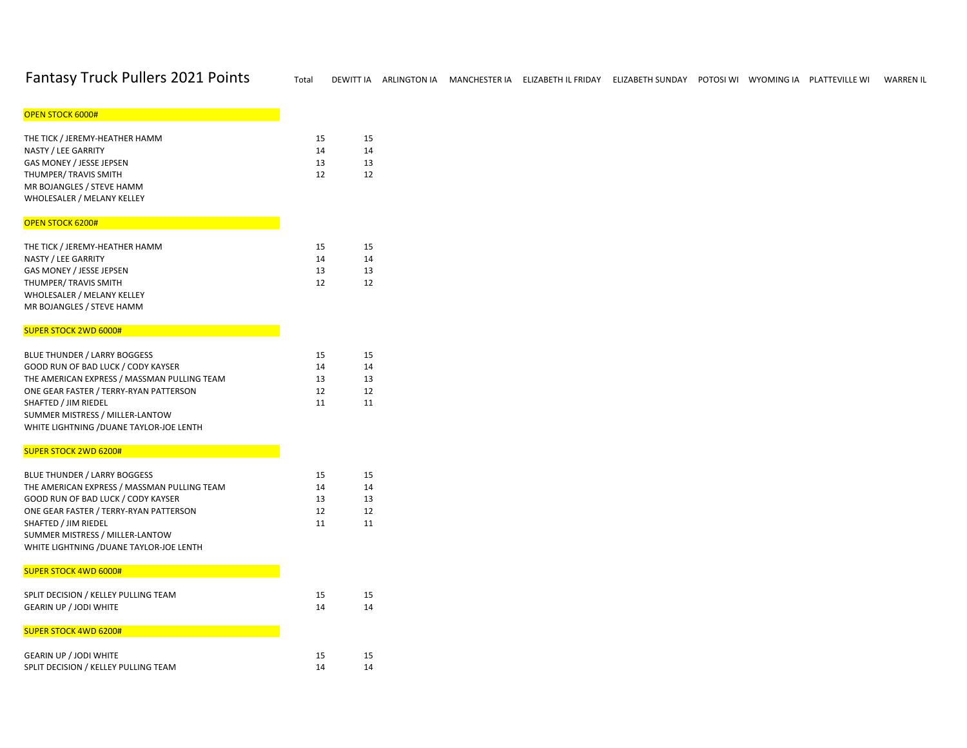| <b>OPEN STOCK 6000#</b>                                 |          |          |
|---------------------------------------------------------|----------|----------|
|                                                         |          |          |
| THE TICK / JEREMY-HEATHER HAMM<br>NASTY / LEE GARRITY   | 15<br>14 | 15       |
| GAS MONEY / JESSE JEPSEN                                | 13       | 14<br>13 |
| THUMPER/ TRAVIS SMITH                                   | 12       | 12       |
| MR BOJANGLES / STEVE HAMM                               |          |          |
| WHOLESALER / MELANY KELLEY                              |          |          |
|                                                         |          |          |
| <b>OPEN STOCK 6200#</b>                                 |          |          |
|                                                         |          |          |
| THE TICK / JEREMY-HEATHER HAMM                          | 15       | 15       |
| NASTY / LEE GARRITY                                     | 14       | 14       |
| GAS MONEY / JESSE JEPSEN                                | 13       | 13       |
| THUMPER/ TRAVIS SMITH                                   | 12       | 12       |
| WHOLESALER / MELANY KELLEY<br>MR BOJANGLES / STEVE HAMM |          |          |
|                                                         |          |          |
| <b>SUPER STOCK 2WD 6000#</b>                            |          |          |
| <b>BLUE THUNDER / LARRY BOGGESS</b>                     | 15       |          |
| GOOD RUN OF BAD LUCK / CODY KAYSER                      | 14       | 15<br>14 |
| THE AMERICAN EXPRESS / MASSMAN PULLING TEAM             | 13       | 13       |
| ONE GEAR FASTER / TERRY-RYAN PATTERSON                  | 12       | 12       |
| SHAFTED / JIM RIEDEL                                    | 11       | 11       |
| SUMMER MISTRESS / MILLER-LANTOW                         |          |          |
| WHITE LIGHTNING / DUANE TAYLOR-JOE LENTH                |          |          |
|                                                         |          |          |
| <b>SUPER STOCK 2WD 6200#</b>                            |          |          |
| <b>BLUE THUNDER / LARRY BOGGESS</b>                     | 15       | 15       |
| THE AMERICAN EXPRESS / MASSMAN PULLING TEAM             | 14       | 14       |
| GOOD RUN OF BAD LUCK / CODY KAYSER                      | 13       | 13       |
| ONE GEAR FASTER / TERRY-RYAN PATTERSON                  | 12       | 12       |
| SHAFTED / JIM RIEDEL                                    | 11       | 11       |
| SUMMER MISTRESS / MILLER-LANTOW                         |          |          |
| WHITE LIGHTNING / DUANE TAYLOR-JOE LENTH                |          |          |

# SUPER STOCK 4WD 6000# **And Construction of the Construction**

| SPLIT DECISION / KELLEY PULLING TEAM | 15 | 15 |
|--------------------------------------|----|----|
| <b>GEARIN UP / JODI WHITE</b>        | 14 | 14 |
| <b>SUPER STOCK 4WD 6200#</b>         |    |    |
| <b>GEARIN UP / JODI WHITE</b>        | 15 | 15 |
| SPLIT DECISION / KELLEY PULLING TEAM | 14 | 14 |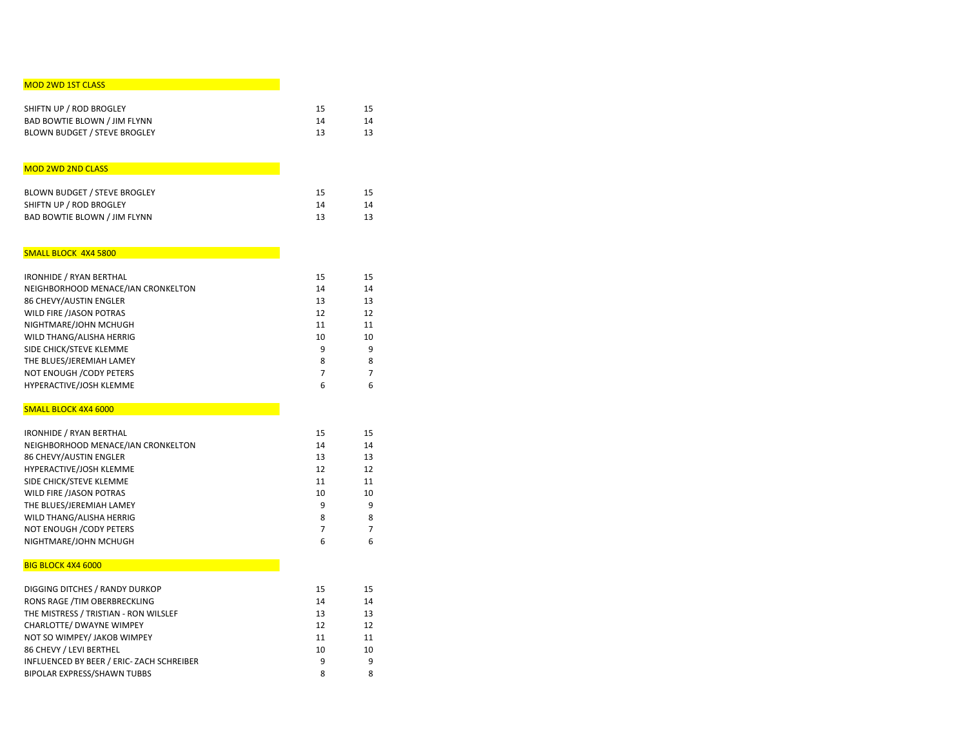# MOD 2WD 1ST CLASS **And the Contract of Contract Contract of Contract Contract Contract O**

| SHIFTN UP / ROD BROGLEY             | 15 |    |
|-------------------------------------|----|----|
| <b>BAD BOWTIE BLOWN / JIM FLYNN</b> | 14 | 14 |
| <b>BLOWN BUDGET / STEVE BROGLEY</b> | 13 | 13 |

# MOD 2WD 2ND CLASS

| <b>BLOWN BUDGET / STEVE BROGLEY</b> | 15 | 15 |
|-------------------------------------|----|----|
| SHIFTN UP / ROD BROGLEY             | 14 | 14 |
| <b>BAD BOWTIE BLOWN / JIM FLYNN</b> | 13 | 13 |

# SMALL BLOCK 4X4 5800

| <b>IRONHIDE / RYAN BERTHAL</b>     | 15 | 15 |
|------------------------------------|----|----|
| NEIGHBORHOOD MENACE/IAN CRONKELTON | 14 | 14 |
| 86 CHEVY/AUSTIN ENGLER             | 13 | 13 |
| WILD FIRE /JASON POTRAS            | 12 | 12 |
| NIGHTMARE/JOHN MCHUGH              | 11 | 11 |
| WILD THANG/ALISHA HERRIG           | 10 | 10 |
| SIDE CHICK/STEVE KLEMME            | 9  | 9  |
| THE BLUES/JEREMIAH LAMEY           | 8  | 8  |
| NOT ENOUGH / CODY PETERS           |    |    |
| HYPERACTIVE/JOSH KLEMME            | 6  | 6  |

#### SMALL BLOCK 4X4 6000

| <b>IRONHIDE / RYAN BERTHAL</b>     | 15 | 15 |
|------------------------------------|----|----|
| NEIGHBORHOOD MENACE/IAN CRONKELTON | 14 | 14 |
| 86 CHEVY/AUSTIN ENGLER             | 13 | 13 |
| HYPERACTIVE/JOSH KLEMME            | 12 | 12 |
| SIDE CHICK/STEVE KLEMME            | 11 | 11 |
| WILD FIRE /JASON POTRAS            | 10 | 10 |
| THE BLUES/JEREMIAH LAMEY           | 9  | 9  |
| WILD THANG/ALISHA HERRIG           | 8  | 8  |
| <b>NOT ENOUGH / CODY PETERS</b>    |    | 7  |
| NIGHTMARE/JOHN MCHUGH              | 6  | 6  |

# **BIG BLOCK 4X4 6000 And the second of the second second second second second second second second second second**

| DIGGING DITCHES / RANDY DURKOP            | 15 | 15 |
|-------------------------------------------|----|----|
| RONS RAGE /TIM OBERBRECKLING              | 14 | 14 |
| THE MISTRESS / TRISTIAN - RON WILSLEF     | 13 | 13 |
| CHARLOTTE/ DWAYNE WIMPEY                  | 12 | 12 |
| NOT SO WIMPEY/ JAKOB WIMPEY               | 11 | 11 |
| 86 CHEVY / LEVI BERTHEL                   | 10 | 10 |
| INFLUENCED BY BEER / ERIC- ZACH SCHREIBER | 9  | q  |
| <b>BIPOLAR EXPRESS/SHAWN TUBBS</b>        | 8  | 8  |